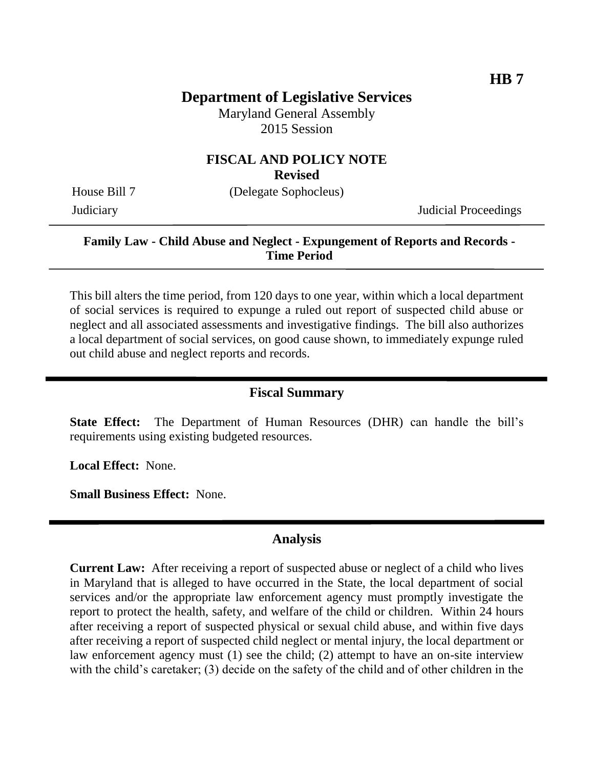# **Department of Legislative Services**

Maryland General Assembly 2015 Session

# **FISCAL AND POLICY NOTE**

**Revised**

House Bill 7 (Delegate Sophocleus)

Judiciary Judicial Proceedings

### **Family Law - Child Abuse and Neglect - Expungement of Reports and Records - Time Period**

This bill alters the time period, from 120 days to one year, within which a local department of social services is required to expunge a ruled out report of suspected child abuse or neglect and all associated assessments and investigative findings. The bill also authorizes a local department of social services, on good cause shown, to immediately expunge ruled out child abuse and neglect reports and records.

#### **Fiscal Summary**

**State Effect:** The Department of Human Resources (DHR) can handle the bill's requirements using existing budgeted resources.

**Local Effect:** None.

**Small Business Effect:** None.

### **Analysis**

**Current Law:** After receiving a report of suspected abuse or neglect of a child who lives in Maryland that is alleged to have occurred in the State, the local department of social services and/or the appropriate law enforcement agency must promptly investigate the report to protect the health, safety, and welfare of the child or children. Within 24 hours after receiving a report of suspected physical or sexual child abuse, and within five days after receiving a report of suspected child neglect or mental injury, the local department or law enforcement agency must (1) see the child; (2) attempt to have an on-site interview with the child's caretaker; (3) decide on the safety of the child and of other children in the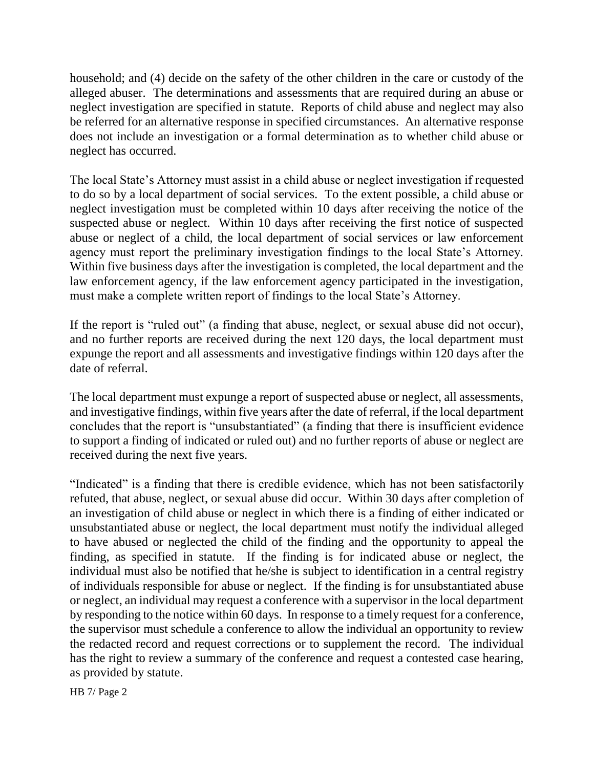household; and (4) decide on the safety of the other children in the care or custody of the alleged abuser. The determinations and assessments that are required during an abuse or neglect investigation are specified in statute. Reports of child abuse and neglect may also be referred for an alternative response in specified circumstances. An alternative response does not include an investigation or a formal determination as to whether child abuse or neglect has occurred.

The local State's Attorney must assist in a child abuse or neglect investigation if requested to do so by a local department of social services. To the extent possible, a child abuse or neglect investigation must be completed within 10 days after receiving the notice of the suspected abuse or neglect. Within 10 days after receiving the first notice of suspected abuse or neglect of a child, the local department of social services or law enforcement agency must report the preliminary investigation findings to the local State's Attorney. Within five business days after the investigation is completed, the local department and the law enforcement agency, if the law enforcement agency participated in the investigation, must make a complete written report of findings to the local State's Attorney.

If the report is "ruled out" (a finding that abuse, neglect, or sexual abuse did not occur), and no further reports are received during the next 120 days, the local department must expunge the report and all assessments and investigative findings within 120 days after the date of referral.

The local department must expunge a report of suspected abuse or neglect, all assessments, and investigative findings, within five years after the date of referral, if the local department concludes that the report is "unsubstantiated" (a finding that there is insufficient evidence to support a finding of indicated or ruled out) and no further reports of abuse or neglect are received during the next five years.

"Indicated" is a finding that there is credible evidence, which has not been satisfactorily refuted, that abuse, neglect, or sexual abuse did occur. Within 30 days after completion of an investigation of child abuse or neglect in which there is a finding of either indicated or unsubstantiated abuse or neglect, the local department must notify the individual alleged to have abused or neglected the child of the finding and the opportunity to appeal the finding, as specified in statute. If the finding is for indicated abuse or neglect, the individual must also be notified that he/she is subject to identification in a central registry of individuals responsible for abuse or neglect. If the finding is for unsubstantiated abuse or neglect, an individual may request a conference with a supervisor in the local department by responding to the notice within 60 days. In response to a timely request for a conference, the supervisor must schedule a conference to allow the individual an opportunity to review the redacted record and request corrections or to supplement the record. The individual has the right to review a summary of the conference and request a contested case hearing, as provided by statute.

HB 7/ Page 2